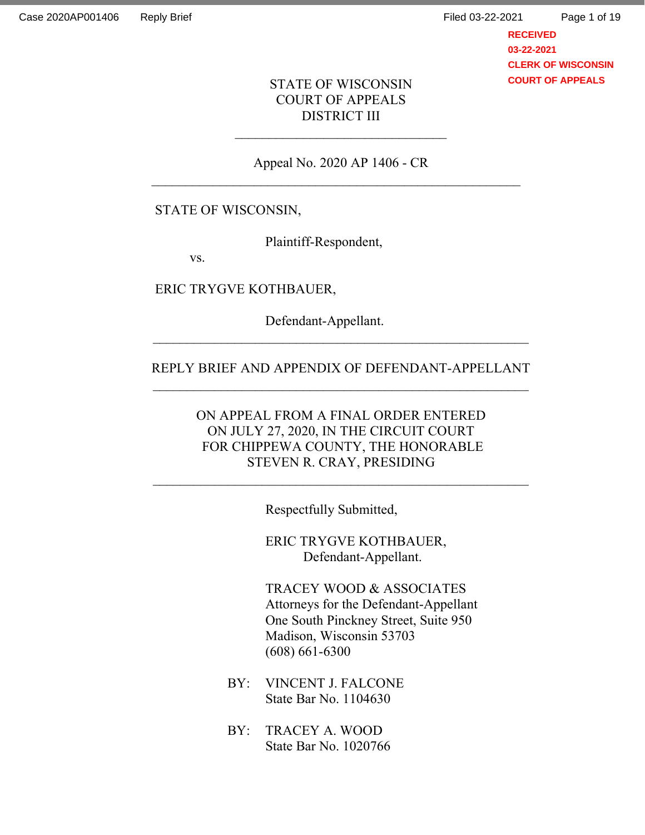# STATE OF WISCONSIN COURT OF APPEALS DISTRICT III

Appeal No. 2020 AP 1406 - CR

# STATE OF WISCONSIN,

Plaintiff-Respondent,

vs.

ERIC TRYGVE KOTHBAUER,

Defendant-Appellant.

### REPLY BRIEF AND APPENDIX OF DEFENDANT-APPELLANT

 $\mathcal{L}_\text{max}$  , and the contract of the contract of the contract of the contract of the contract of the contract of the contract of the contract of the contract of the contract of the contract of the contract of the contr

ON APPEAL FROM A FINAL ORDER ENTERED ON JULY 27, 2020, IN THE CIRCUIT COURT FOR CHIPPEWA COUNTY, THE HONORABLE STEVEN R. CRAY, PRESIDING

Respectfully Submitted,

ERIC TRYGVE KOTHBAUER, Defendant-Appellant.

TRACEY WOOD & ASSOCIATES Attorneys for the Defendant-Appellant One South Pinckney Street, Suite 950 Madison, Wisconsin 53703 (608) 661-6300

- BY: VINCENT J. FALCONE State Bar No. 1104630
- BY: TRACEY A. WOOD State Bar No. 1020766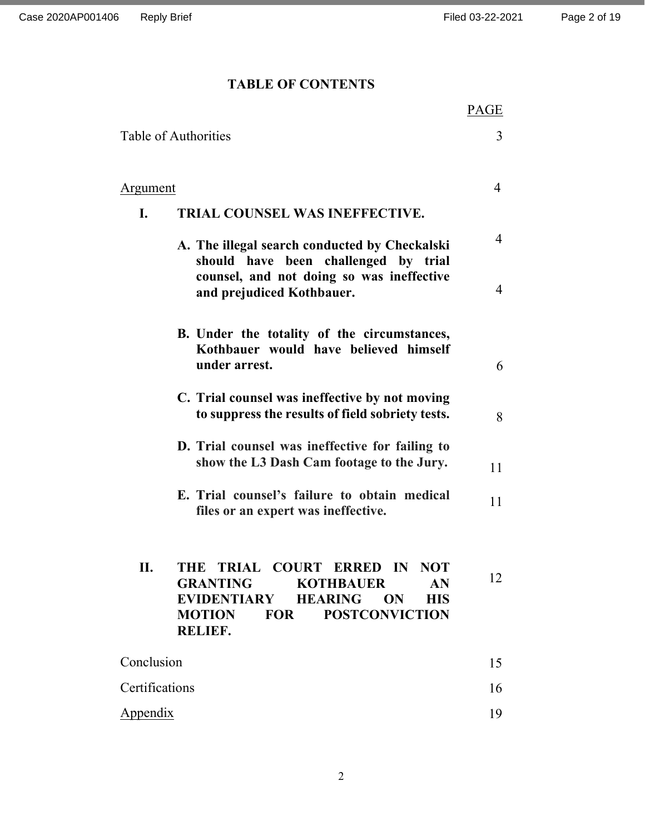# TABLE OF CONTENTS

|                                                                                                                                                                                                | PAGE           |
|------------------------------------------------------------------------------------------------------------------------------------------------------------------------------------------------|----------------|
| Table of Authorities                                                                                                                                                                           | 3              |
|                                                                                                                                                                                                |                |
| <b>Argument</b>                                                                                                                                                                                | $\overline{4}$ |
| TRIAL COUNSEL WAS INEFFECTIVE.<br>I.                                                                                                                                                           |                |
| A. The illegal search conducted by Checkalski<br>should have been challenged by trial                                                                                                          | $\overline{4}$ |
| counsel, and not doing so was ineffective<br>and prejudiced Kothbauer.                                                                                                                         | $\overline{4}$ |
| B. Under the totality of the circumstances,<br>Kothbauer would have believed himself<br>under arrest.                                                                                          | 6              |
| C. Trial counsel was ineffective by not moving<br>to suppress the results of field sobriety tests.                                                                                             | 8              |
| D. Trial counsel was ineffective for failing to<br>show the L3 Dash Cam footage to the Jury.                                                                                                   | 11             |
| E. Trial counsel's failure to obtain medical<br>files or an expert was ineffective.                                                                                                            | 11             |
| TRIAL COURT ERRED IN<br><b>NOT</b><br>11.<br>THE<br><b>GRANTING KOTHBAUER</b><br>AN<br>EVIDENTIARY HEARING ON<br><b>HIS</b><br><b>FOR</b><br><b>POSTCONVICTION</b><br><b>MOTION</b><br>RELIEF. | 12             |
| Conclusion                                                                                                                                                                                     | 15             |
| Certifications                                                                                                                                                                                 | 16             |
| <b>Appendix</b>                                                                                                                                                                                | 19             |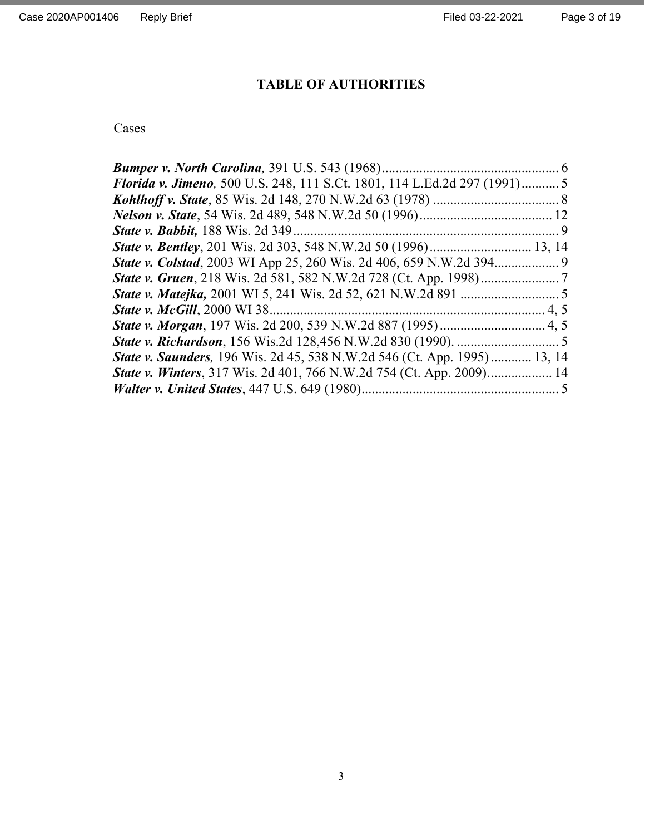# TABLE OF AUTHORITIES

# **Cases**

| <b>Florida v. Jimeno</b> , 500 U.S. 248, 111 S.Ct. 1801, 114 L.Ed.2d 297 (1991)5 |  |
|----------------------------------------------------------------------------------|--|
|                                                                                  |  |
|                                                                                  |  |
|                                                                                  |  |
|                                                                                  |  |
|                                                                                  |  |
|                                                                                  |  |
|                                                                                  |  |
|                                                                                  |  |
|                                                                                  |  |
|                                                                                  |  |
| State v. Saunders, 196 Wis. 2d 45, 538 N.W.2d 546 (Ct. App. 1995)  13, 14        |  |
| <b>State v. Winters, 317 Wis. 2d 401, 766 N.W.2d 754 (Ct. App. 2009) 14</b>      |  |
|                                                                                  |  |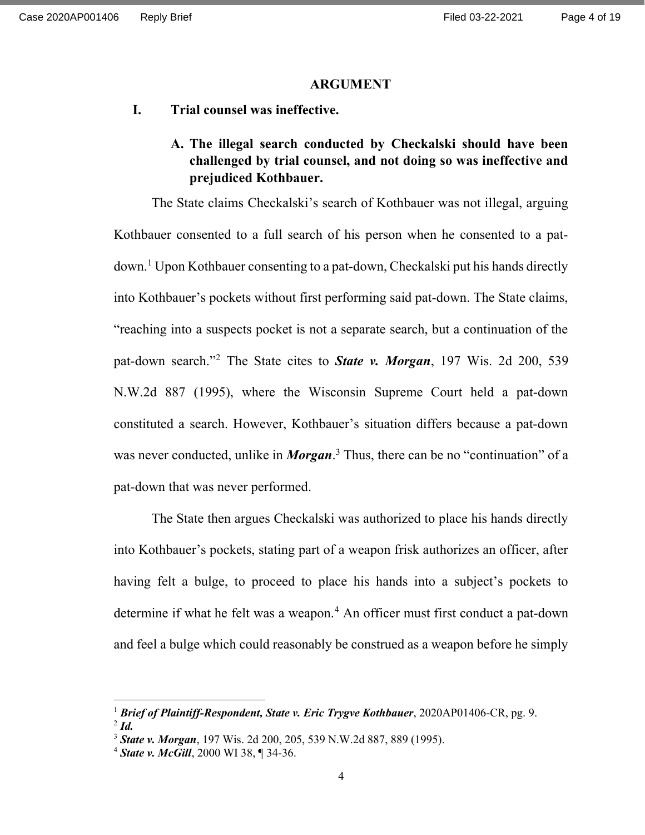#### ARGUMENT

I. Trial counsel was ineffective.

# A. The illegal search conducted by Checkalski should have been challenged by trial counsel, and not doing so was ineffective and prejudiced Kothbauer.

The State claims Checkalski's search of Kothbauer was not illegal, arguing Kothbauer consented to a full search of his person when he consented to a patdown.<sup>1</sup> Upon Kothbauer consenting to a pat-down, Checkalski put his hands directly into Kothbauer's pockets without first performing said pat-down. The State claims, "reaching into a suspects pocket is not a separate search, but a continuation of the pat-down search."<sup>2</sup> The State cites to **State v. Morgan**, 197 Wis. 2d 200, 539 N.W.2d 887 (1995), where the Wisconsin Supreme Court held a pat-down constituted a search. However, Kothbauer's situation differs because a pat-down was never conducted, unlike in *Morgan*.<sup>3</sup> Thus, there can be no "continuation" of a pat-down that was never performed.

The State then argues Checkalski was authorized to place his hands directly into Kothbauer's pockets, stating part of a weapon frisk authorizes an officer, after having felt a bulge, to proceed to place his hands into a subject's pockets to determine if what he felt was a weapon.<sup>4</sup> An officer must first conduct a pat-down and feel a bulge which could reasonably be construed as a weapon before he simply

<sup>&</sup>lt;sup>1</sup> Brief of Plaintiff-Respondent, State v. Eric Trygve Kothbauer, 2020AP01406-CR, pg. 9.  $^{2}$  Id.

<sup>&</sup>lt;sup>3</sup> State v. Morgan, 197 Wis. 2d 200, 205, 539 N.W.2d 887, 889 (1995).

 $4$  State v. McGill, 2000 WI 38,  $\P$  34-36.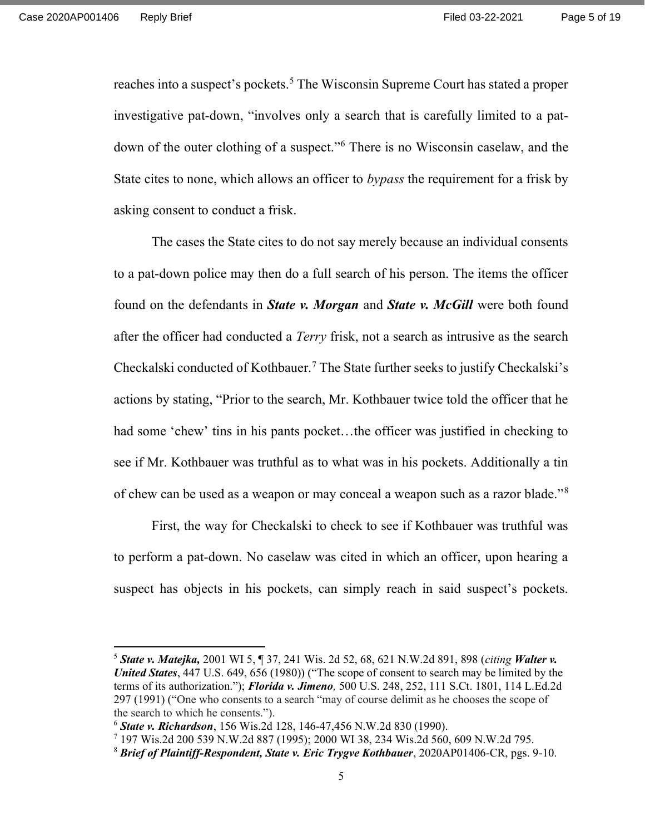reaches into a suspect's pockets.<sup>5</sup> The Wisconsin Supreme Court has stated a proper investigative pat-down, "involves only a search that is carefully limited to a patdown of the outer clothing of a suspect."<sup>6</sup> There is no Wisconsin caselaw, and the State cites to none, which allows an officer to bypass the requirement for a frisk by asking consent to conduct a frisk.

The cases the State cites to do not say merely because an individual consents to a pat-down police may then do a full search of his person. The items the officer found on the defendants in **State v. Morgan** and **State v. McGill** were both found after the officer had conducted a *Terry* frisk, not a search as intrusive as the search Checkalski conducted of Kothbauer.<sup>7</sup> The State further seeks to justify Checkalski's actions by stating, "Prior to the search, Mr. Kothbauer twice told the officer that he had some 'chew' tins in his pants pocket…the officer was justified in checking to see if Mr. Kothbauer was truthful as to what was in his pockets. Additionally a tin of chew can be used as a weapon or may conceal a weapon such as a razor blade."<sup>8</sup>

First, the way for Checkalski to check to see if Kothbauer was truthful was to perform a pat-down. No caselaw was cited in which an officer, upon hearing a suspect has objects in his pockets, can simply reach in said suspect's pockets.

<sup>&</sup>lt;sup>5</sup> State v. Matejka, 2001 WI 5, ¶ 37, 241 Wis. 2d 52, 68, 621 N.W.2d 891, 898 (citing Walter v. United States, 447 U.S. 649, 656 (1980)) ("The scope of consent to search may be limited by the terms of its authorization."); *Florida v. Jimeno*, 500 U.S. 248, 252, 111 S.Ct. 1801, 114 L.Ed.2d 297 (1991) ("One who consents to a search "may of course delimit as he chooses the scope of the search to which he consents.").

<sup>6</sup> State v. Richardson, 156 Wis.2d 128, 146-47,456 N.W.2d 830 (1990).

<sup>7</sup> 197 Wis.2d 200 539 N.W.2d 887 (1995); 2000 WI 38, 234 Wis.2d 560, 609 N.W.2d 795.

<sup>&</sup>lt;sup>8</sup> Brief of Plaintiff-Respondent, State v. Eric Trygve Kothbauer, 2020AP01406-CR, pgs. 9-10.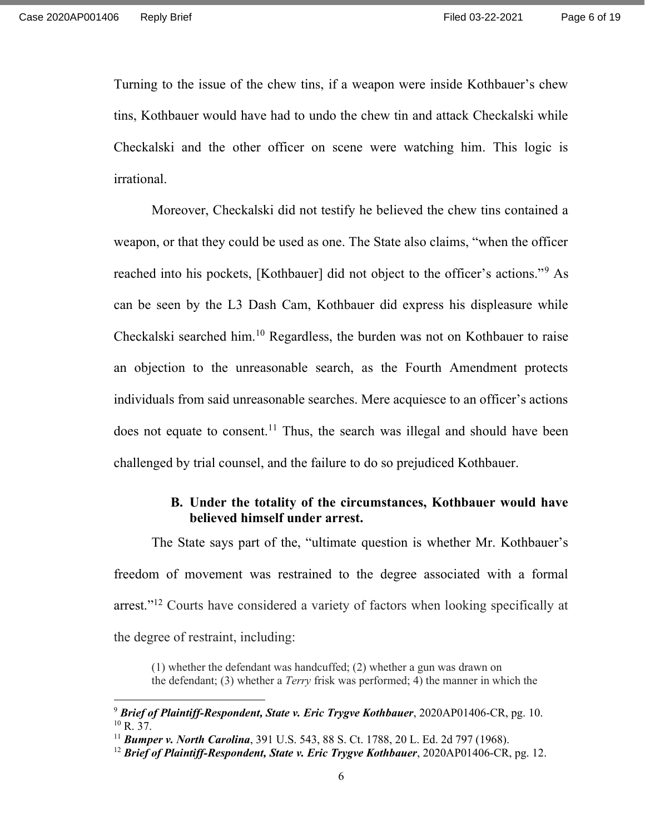Turning to the issue of the chew tins, if a weapon were inside Kothbauer's chew tins, Kothbauer would have had to undo the chew tin and attack Checkalski while Checkalski and the other officer on scene were watching him. This logic is irrational.

Moreover, Checkalski did not testify he believed the chew tins contained a weapon, or that they could be used as one. The State also claims, "when the officer reached into his pockets, [Kothbauer] did not object to the officer's actions."<sup>9</sup> As can be seen by the L3 Dash Cam, Kothbauer did express his displeasure while Checkalski searched him.<sup>10</sup> Regardless, the burden was not on Kothbauer to raise an objection to the unreasonable search, as the Fourth Amendment protects individuals from said unreasonable searches. Mere acquiesce to an officer's actions does not equate to consent.<sup>11</sup> Thus, the search was illegal and should have been challenged by trial counsel, and the failure to do so prejudiced Kothbauer.

### B. Under the totality of the circumstances, Kothbauer would have believed himself under arrest.

The State says part of the, "ultimate question is whether Mr. Kothbauer's freedom of movement was restrained to the degree associated with a formal arrest."<sup>12</sup> Courts have considered a variety of factors when looking specifically at the degree of restraint, including:

(1) whether the defendant was handcuffed; (2) whether a gun was drawn on the defendant; (3) whether a Terry frisk was performed; 4) the manner in which the

 $9$  Brief of Plaintiff-Respondent, State v. Eric Trygve Kothbauer, 2020AP01406-CR, pg. 10.  $10$  R. 37.

<sup>&</sup>lt;sup>11</sup> Bumper v. North Carolina, 391 U.S. 543, 88 S. Ct. 1788, 20 L. Ed. 2d 797 (1968).

<sup>&</sup>lt;sup>12</sup> Brief of Plaintiff-Respondent, State v. Eric Trygve Kothbauer, 2020AP01406-CR, pg. 12.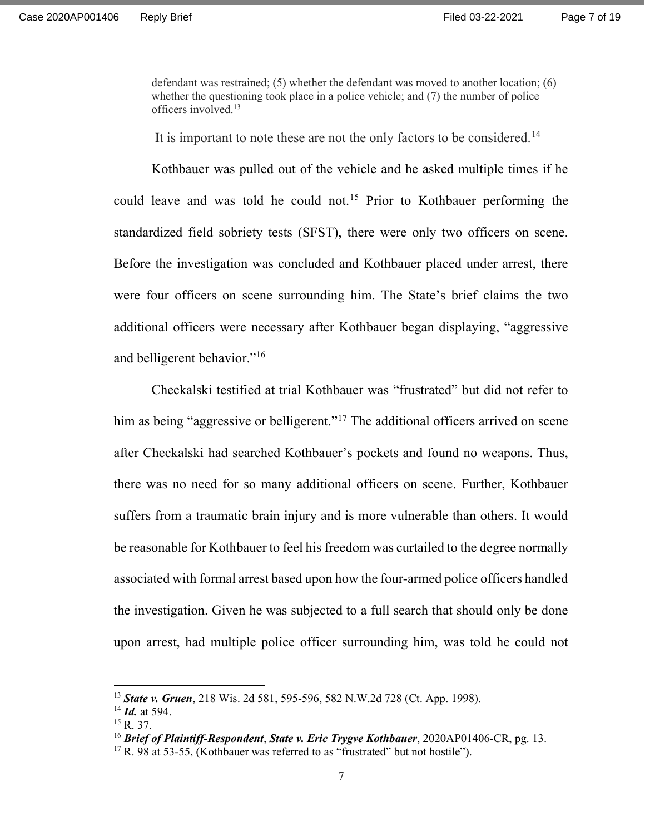defendant was restrained; (5) whether the defendant was moved to another location; (6) whether the questioning took place in a police vehicle; and (7) the number of police officers involved.<sup>13</sup>

It is important to note these are not the only factors to be considered.<sup>14</sup>

Kothbauer was pulled out of the vehicle and he asked multiple times if he could leave and was told he could not.<sup>15</sup> Prior to Kothbauer performing the standardized field sobriety tests (SFST), there were only two officers on scene. Before the investigation was concluded and Kothbauer placed under arrest, there were four officers on scene surrounding him. The State's brief claims the two additional officers were necessary after Kothbauer began displaying, "aggressive and belligerent behavior."<sup>16</sup>

Checkalski testified at trial Kothbauer was "frustrated" but did not refer to him as being "aggressive or belligerent."<sup>17</sup> The additional officers arrived on scene after Checkalski had searched Kothbauer's pockets and found no weapons. Thus, there was no need for so many additional officers on scene. Further, Kothbauer suffers from a traumatic brain injury and is more vulnerable than others. It would be reasonable for Kothbauer to feel his freedom was curtailed to the degree normally associated with formal arrest based upon how the four-armed police officers handled the investigation. Given he was subjected to a full search that should only be done upon arrest, had multiple police officer surrounding him, was told he could not

<sup>&</sup>lt;sup>13</sup> State v. Gruen, 218 Wis. 2d 581, 595-596, 582 N.W.2d 728 (Ct. App. 1998).

 $14$  *Id.* at 594.

<sup>&</sup>lt;sup>15</sup> R. 37.

<sup>&</sup>lt;sup>16</sup> Brief of Plaintiff-Respondent, State v. Eric Trygve Kothbauer, 2020AP01406-CR, pg. 13.

 $17$  R. 98 at 53-55, (Kothbauer was referred to as "frustrated" but not hostile").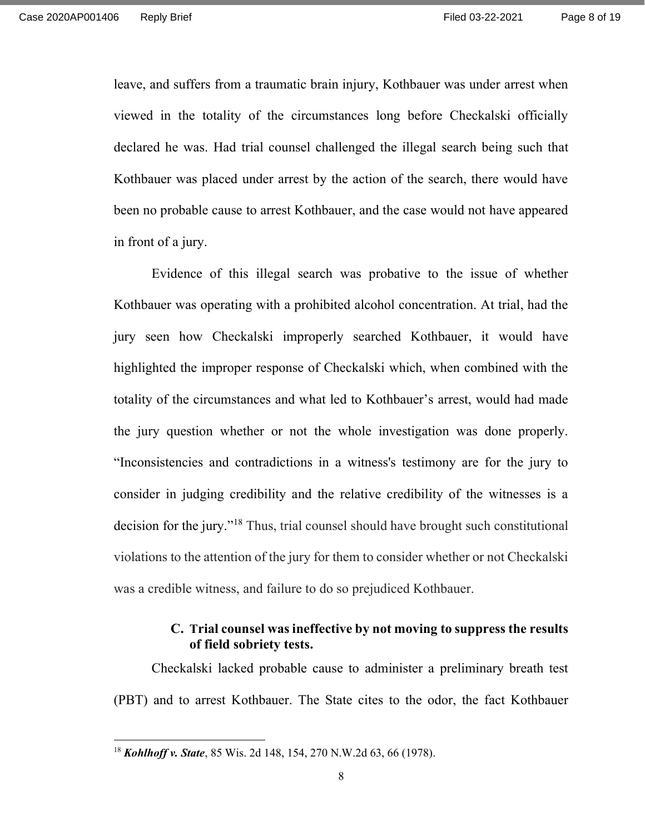leave, and suffers from a traumatic brain injury, Kothbauer was under arrest when viewed in the totality of the circumstances long before Checkalski officially declared he was. Had trial counsel challenged the illegal search being such that Kothbauer was placed under arrest by the action of the search, there would have been no probable cause to arrest Kothbauer, and the case would not have appeared in front of a jury.

Evidence of this illegal search was probative to the issue of whether Kothbauer was operating with a prohibited alcohol concentration. At trial, had the jury seen how Checkalski improperly searched Kothbauer, it would have highlighted the improper response of Checkalski which, when combined with the totality of the circumstances and what led to Kothbauer's arrest, would had made the jury question whether or not the whole investigation was done properly. "Inconsistencies and contradictions in a witness's testimony are for the jury to consider in judging credibility and the relative credibility of the witnesses is a decision for the jury."<sup>18</sup> Thus, trial counsel should have brought such constitutional violations to the attention of the jury for them to consider whether or not Checkalski was a credible witness, and failure to do so prejudiced Kothbauer.

### C. Trial counsel was ineffective by not moving to suppress the results of field sobriety tests.

Checkalski lacked probable cause to administer a preliminary breath test (PBT) and to arrest Kothbauer. The State cites to the odor, the fact Kothbauer

<sup>&</sup>lt;sup>18</sup> Kohlhoff v. State, 85 Wis. 2d 148, 154, 270 N.W.2d 63, 66 (1978).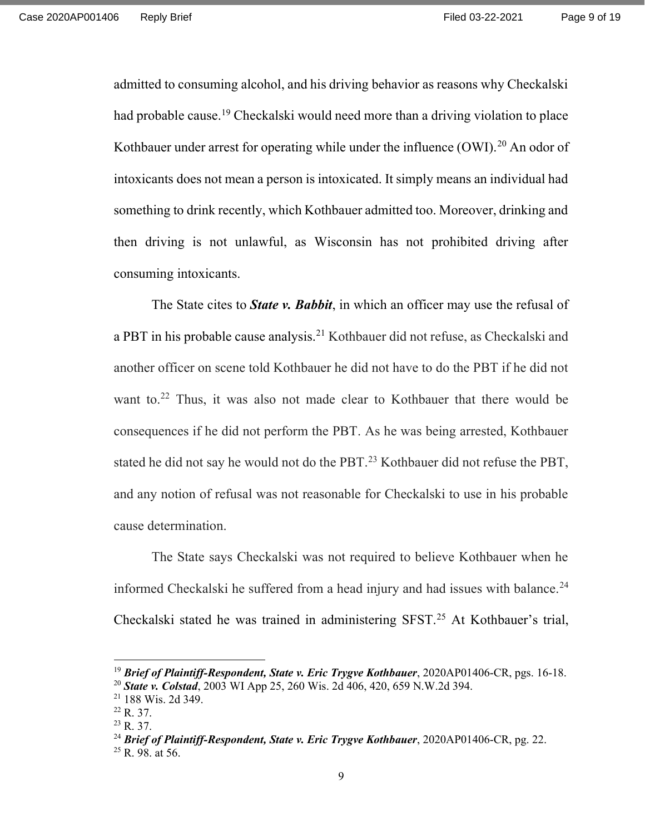admitted to consuming alcohol, and his driving behavior as reasons why Checkalski had probable cause.<sup>19</sup> Checkalski would need more than a driving violation to place Kothbauer under arrest for operating while under the influence  $(OWI)$ <sup>20</sup> An odor of intoxicants does not mean a person is intoxicated. It simply means an individual had something to drink recently, which Kothbauer admitted too. Moreover, drinking and then driving is not unlawful, as Wisconsin has not prohibited driving after consuming intoxicants.

The State cites to **State v. Babbit**, in which an officer may use the refusal of a PBT in his probable cause analysis.<sup>21</sup> Kothbauer did not refuse, as Checkalski and another officer on scene told Kothbauer he did not have to do the PBT if he did not want to.<sup>22</sup> Thus, it was also not made clear to Kothbauer that there would be consequences if he did not perform the PBT. As he was being arrested, Kothbauer stated he did not say he would not do the PBT.<sup>23</sup> Kothbauer did not refuse the PBT, and any notion of refusal was not reasonable for Checkalski to use in his probable cause determination.

The State says Checkalski was not required to believe Kothbauer when he informed Checkalski he suffered from a head injury and had issues with balance.<sup>24</sup> Checkalski stated he was trained in administering SFST.<sup>25</sup> At Kothbauer's trial,

<sup>&</sup>lt;sup>19</sup> Brief of Plaintiff-Respondent, State v. Eric Trygve Kothbauer, 2020AP01406-CR, pgs. 16-18. <sup>20</sup> State v. Colstad, 2003 WI App 25, 260 Wis. 2d 406, 420, 659 N.W.2d 394.

<sup>21</sup> 188 Wis. 2d 349.

<sup>22</sup> R. 37.

<sup>23</sup> R. 37.

<sup>&</sup>lt;sup>24</sup> Brief of Plaintiff-Respondent, State v. Eric Trygve Kothbauer, 2020AP01406-CR, pg. 22.  $25$  R. 98. at 56.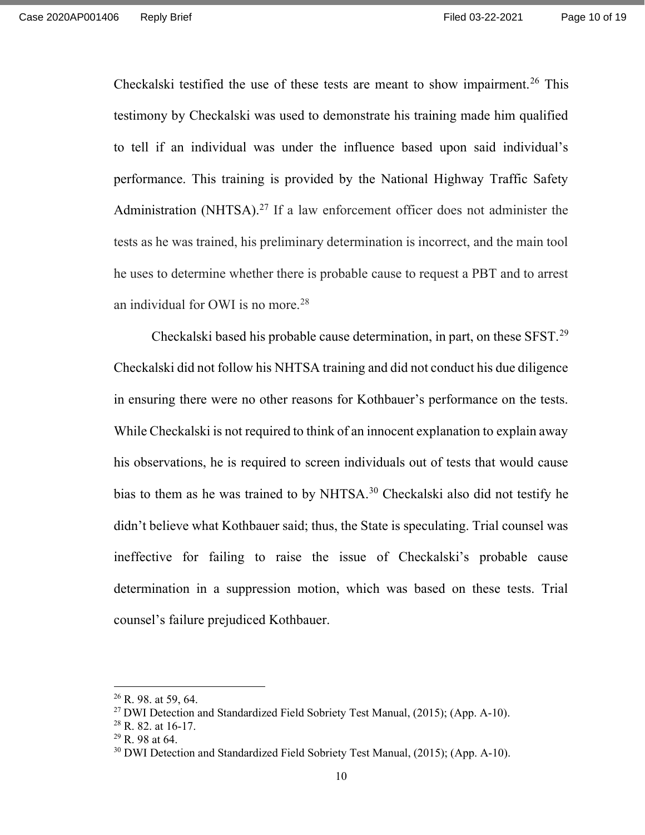Checkalski testified the use of these tests are meant to show impairment.<sup>26</sup> This testimony by Checkalski was used to demonstrate his training made him qualified to tell if an individual was under the influence based upon said individual's performance. This training is provided by the National Highway Traffic Safety Administration (NHTSA).<sup>27</sup> If a law enforcement officer does not administer the tests as he was trained, his preliminary determination is incorrect, and the main tool he uses to determine whether there is probable cause to request a PBT and to arrest an individual for OWI is no more.<sup>28</sup>

Checkalski based his probable cause determination, in part, on these SFST.<sup>29</sup> Checkalski did not follow his NHTSA training and did not conduct his due diligence in ensuring there were no other reasons for Kothbauer's performance on the tests. While Checkalski is not required to think of an innocent explanation to explain away his observations, he is required to screen individuals out of tests that would cause bias to them as he was trained to by NHTSA.<sup>30</sup> Checkalski also did not testify he didn't believe what Kothbauer said; thus, the State is speculating. Trial counsel was ineffective for failing to raise the issue of Checkalski's probable cause determination in a suppression motion, which was based on these tests. Trial counsel's failure prejudiced Kothbauer.

 $26$  R. 98. at 59, 64.

<sup>&</sup>lt;sup>27</sup> DWI Detection and Standardized Field Sobriety Test Manual, (2015); (App. A-10).

<sup>28</sup> R. 82. at 16-17.

 $^{29}$  R. 98 at 64.

<sup>&</sup>lt;sup>30</sup> DWI Detection and Standardized Field Sobriety Test Manual, (2015); (App. A-10).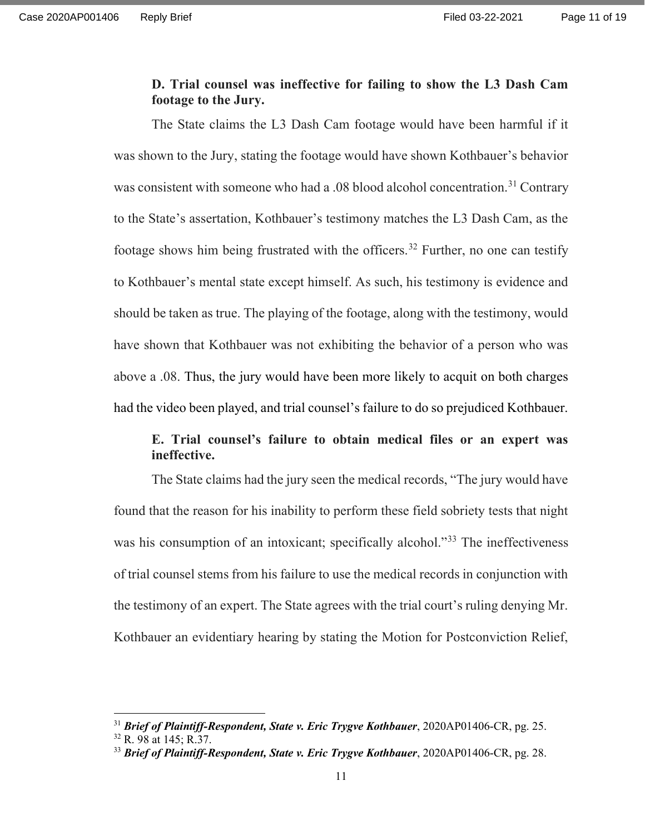#### D. Trial counsel was ineffective for failing to show the L3 Dash Cam footage to the Jury.

The State claims the L3 Dash Cam footage would have been harmful if it was shown to the Jury, stating the footage would have shown Kothbauer's behavior was consistent with someone who had a .08 blood alcohol concentration.<sup>31</sup> Contrary to the State's assertation, Kothbauer's testimony matches the L3 Dash Cam, as the footage shows him being frustrated with the officers.<sup>32</sup> Further, no one can testify to Kothbauer's mental state except himself. As such, his testimony is evidence and should be taken as true. The playing of the footage, along with the testimony, would have shown that Kothbauer was not exhibiting the behavior of a person who was above a .08. Thus, the jury would have been more likely to acquit on both charges had the video been played, and trial counsel's failure to do so prejudiced Kothbauer.

# E. Trial counsel's failure to obtain medical files or an expert was ineffective.

The State claims had the jury seen the medical records, "The jury would have found that the reason for his inability to perform these field sobriety tests that night was his consumption of an intoxicant; specifically alcohol."<sup>33</sup> The ineffectiveness of trial counsel stems from his failure to use the medical records in conjunction with the testimony of an expert. The State agrees with the trial court's ruling denying Mr. Kothbauer an evidentiary hearing by stating the Motion for Postconviction Relief,

 $31$  Brief of Plaintiff-Respondent, State v. Eric Trygve Kothbauer, 2020AP01406-CR, pg. 25.

<sup>32</sup> R. 98 at 145; R.37.

 $33$  Brief of Plaintiff-Respondent, State v. Eric Trygve Kothbauer, 2020AP01406-CR, pg. 28.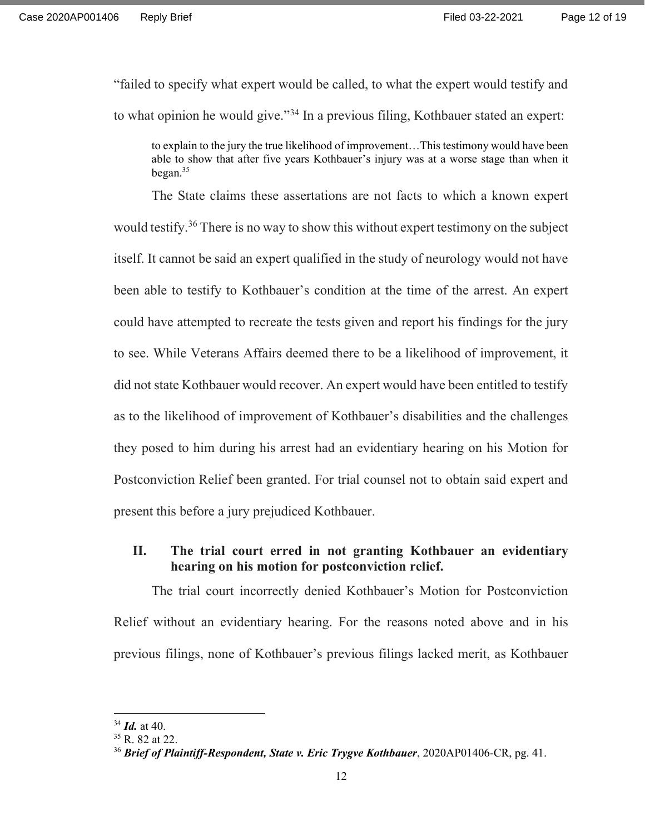"failed to specify what expert would be called, to what the expert would testify and to what opinion he would give."<sup>34</sup> In a previous filing, Kothbauer stated an expert:

to explain to the jury the true likelihood of improvement…This testimony would have been able to show that after five years Kothbauer's injury was at a worse stage than when it began.<sup>35</sup>

The State claims these assertations are not facts to which a known expert would testify.<sup>36</sup> There is no way to show this without expert testimony on the subject itself. It cannot be said an expert qualified in the study of neurology would not have been able to testify to Kothbauer's condition at the time of the arrest. An expert could have attempted to recreate the tests given and report his findings for the jury to see. While Veterans Affairs deemed there to be a likelihood of improvement, it did not state Kothbauer would recover. An expert would have been entitled to testify as to the likelihood of improvement of Kothbauer's disabilities and the challenges they posed to him during his arrest had an evidentiary hearing on his Motion for Postconviction Relief been granted. For trial counsel not to obtain said expert and present this before a jury prejudiced Kothbauer.

# II. The trial court erred in not granting Kothbauer an evidentiary hearing on his motion for postconviction relief.

The trial court incorrectly denied Kothbauer's Motion for Postconviction Relief without an evidentiary hearing. For the reasons noted above and in his previous filings, none of Kothbauer's previous filings lacked merit, as Kothbauer

 $34$  *Id.* at 40.

<sup>35</sup> R. 82 at 22.

 $36$  Brief of Plaintiff-Respondent, State v. Eric Trygve Kothbauer, 2020AP01406-CR, pg. 41.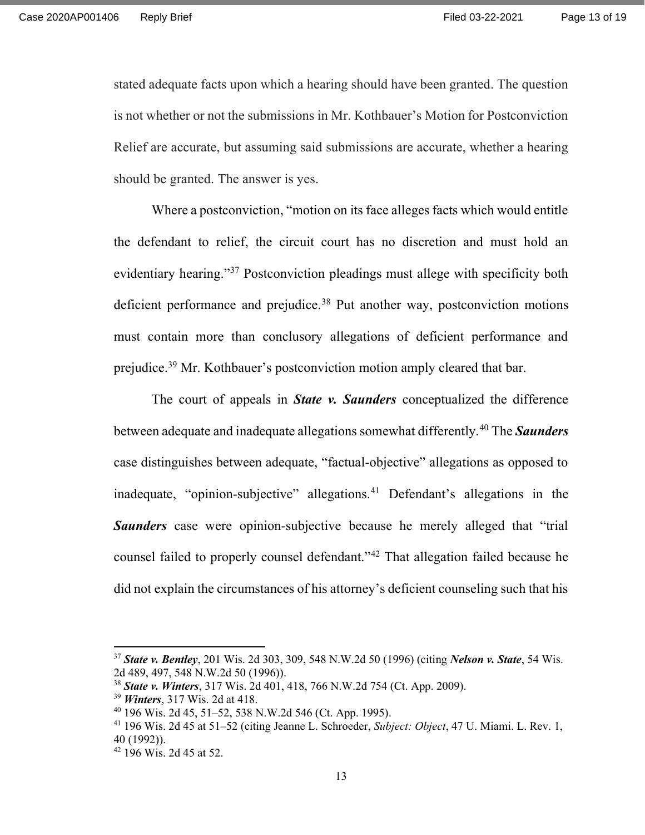stated adequate facts upon which a hearing should have been granted. The question is not whether or not the submissions in Mr. Kothbauer's Motion for Postconviction Relief are accurate, but assuming said submissions are accurate, whether a hearing should be granted. The answer is yes.

Where a postconviction, "motion on its face alleges facts which would entitle the defendant to relief, the circuit court has no discretion and must hold an evidentiary hearing."<sup>37</sup> Postconviction pleadings must allege with specificity both deficient performance and prejudice.<sup>38</sup> Put another way, postconviction motions must contain more than conclusory allegations of deficient performance and prejudice.<sup>39</sup> Mr. Kothbauer's postconviction motion amply cleared that bar.

The court of appeals in **State v. Saunders** conceptualized the difference between adequate and inadequate allegations somewhat differently.<sup>40</sup> The **Saunders** case distinguishes between adequate, "factual-objective" allegations as opposed to inadequate, "opinion-subjective" allegations.<sup>41</sup> Defendant's allegations in the Saunders case were opinion-subjective because he merely alleged that "trial" counsel failed to properly counsel defendant."<sup>42</sup> That allegation failed because he did not explain the circumstances of his attorney's deficient counseling such that his

<sup>&</sup>lt;sup>37</sup> State v. Bentley, 201 Wis. 2d 303, 309, 548 N.W.2d 50 (1996) (citing *Nelson v. State*, 54 Wis. 2d 489, 497, 548 N.W.2d 50 (1996)).

<sup>&</sup>lt;sup>38</sup> State v. Winters, 317 Wis. 2d 401, 418, 766 N.W.2d 754 (Ct. App. 2009).

<sup>&</sup>lt;sup>39</sup> *Winters*, 317 Wis. 2d at 418.

<sup>40</sup> 196 Wis. 2d 45, 51–52, 538 N.W.2d 546 (Ct. App. 1995).

<sup>&</sup>lt;sup>41</sup> 196 Wis. 2d 45 at 51–52 (citing Jeanne L. Schroeder, Subject: Object, 47 U. Miami. L. Rev. 1, 40 (1992)).

<sup>42</sup> 196 Wis. 2d 45 at 52.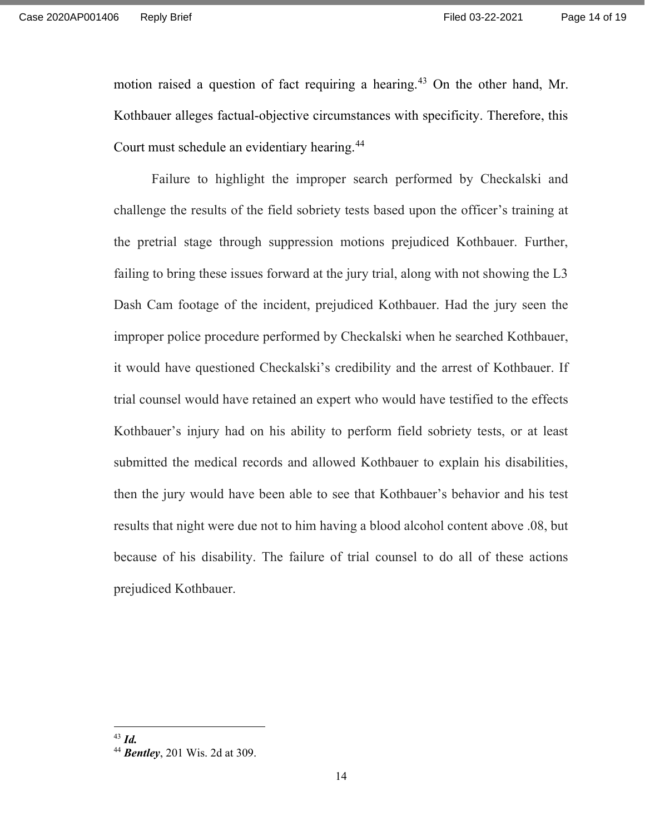motion raised a question of fact requiring a hearing.<sup>43</sup> On the other hand, Mr. Kothbauer alleges factual-objective circumstances with specificity. Therefore, this Court must schedule an evidentiary hearing.<sup>44</sup>

Failure to highlight the improper search performed by Checkalski and challenge the results of the field sobriety tests based upon the officer's training at the pretrial stage through suppression motions prejudiced Kothbauer. Further, failing to bring these issues forward at the jury trial, along with not showing the L3 Dash Cam footage of the incident, prejudiced Kothbauer. Had the jury seen the improper police procedure performed by Checkalski when he searched Kothbauer, it would have questioned Checkalski's credibility and the arrest of Kothbauer. If trial counsel would have retained an expert who would have testified to the effects Kothbauer's injury had on his ability to perform field sobriety tests, or at least submitted the medical records and allowed Kothbauer to explain his disabilities, then the jury would have been able to see that Kothbauer's behavior and his test results that night were due not to him having a blood alcohol content above .08, but because of his disability. The failure of trial counsel to do all of these actions prejudiced Kothbauer.

 $43$  *Id.* 

<sup>44</sup> **Bentley**, 201 Wis. 2d at 309.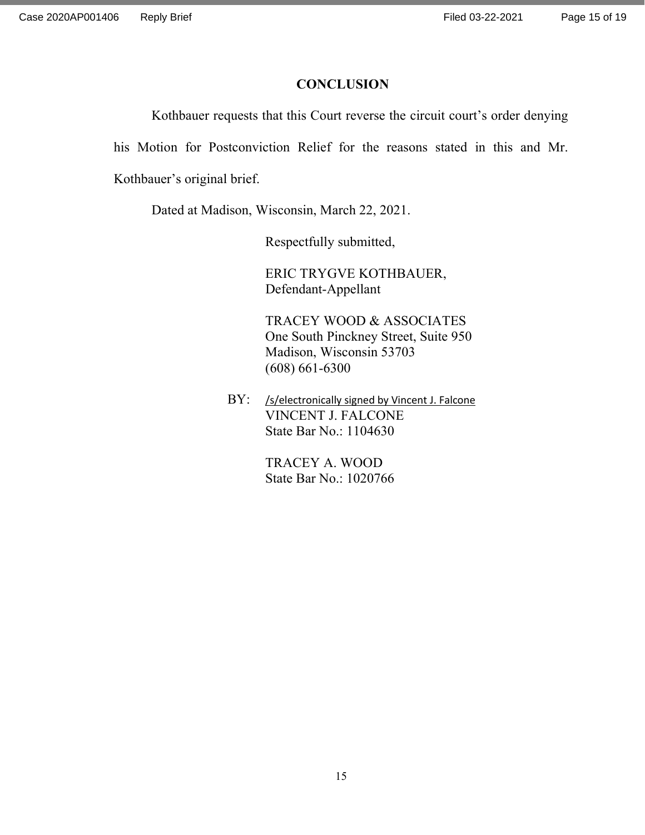#### **CONCLUSION**

Kothbauer requests that this Court reverse the circuit court's order denying

his Motion for Postconviction Relief for the reasons stated in this and Mr.

Kothbauer's original brief.

Dated at Madison, Wisconsin, March 22, 2021.

Respectfully submitted,

 ERIC TRYGVE KOTHBAUER, Defendant-Appellant

 TRACEY WOOD & ASSOCIATES One South Pinckney Street, Suite 950 Madison, Wisconsin 53703 (608) 661-6300

BY: /s/electronically signed by Vincent J. Falcone VINCENT J. FALCONE State Bar No.: 1104630

> TRACEY A. WOOD State Bar No.: 1020766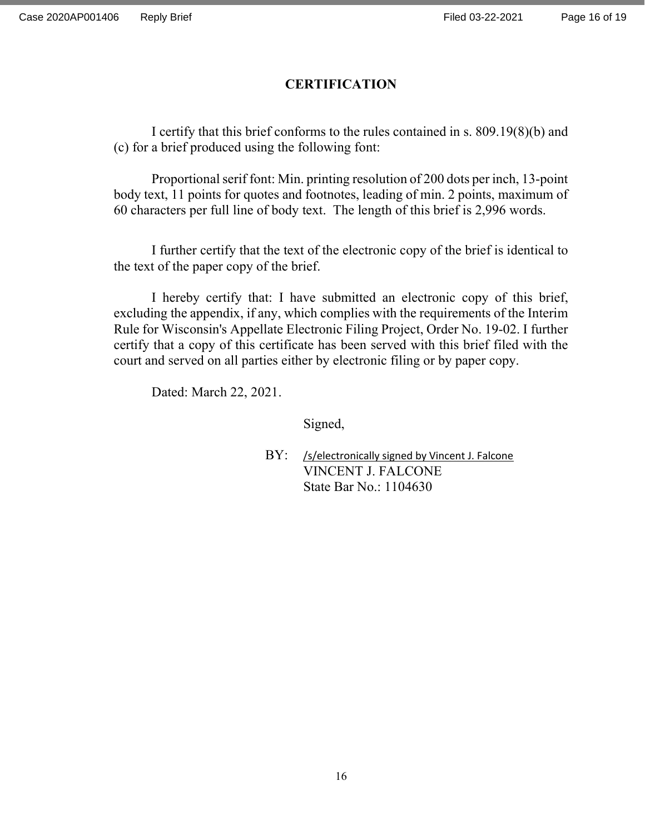# **CERTIFICATION**

 I certify that this brief conforms to the rules contained in s. 809.19(8)(b) and (c) for a brief produced using the following font:

 Proportional serif font: Min. printing resolution of 200 dots per inch, 13-point body text, 11 points for quotes and footnotes, leading of min. 2 points, maximum of 60 characters per full line of body text. The length of this brief is 2,996 words.

I further certify that the text of the electronic copy of the brief is identical to the text of the paper copy of the brief.

I hereby certify that: I have submitted an electronic copy of this brief, excluding the appendix, if any, which complies with the requirements of the Interim Rule for Wisconsin's Appellate Electronic Filing Project, Order No. 19-02. I further certify that a copy of this certificate has been served with this brief filed with the court and served on all parties either by electronic filing or by paper copy.

Dated: March 22, 2021.

Signed,

BY: /s/electronically signed by Vincent J. Falcone VINCENT J. FALCONE State Bar No.: 1104630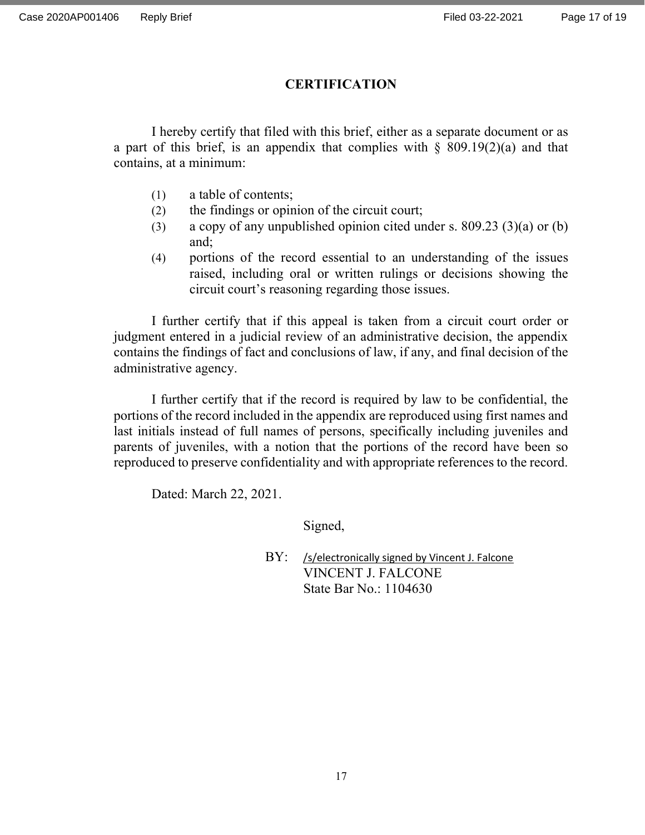# **CERTIFICATION**

 I hereby certify that filed with this brief, either as a separate document or as a part of this brief, is an appendix that complies with  $\S$  809.19(2)(a) and that contains, at a minimum:

- (1) a table of contents;
- (2) the findings or opinion of the circuit court;
- (3) a copy of any unpublished opinion cited under s. 809.23 (3)(a) or (b) and;
- (4) portions of the record essential to an understanding of the issues raised, including oral or written rulings or decisions showing the circuit court's reasoning regarding those issues.

I further certify that if this appeal is taken from a circuit court order or judgment entered in a judicial review of an administrative decision, the appendix contains the findings of fact and conclusions of law, if any, and final decision of the administrative agency.

I further certify that if the record is required by law to be confidential, the portions of the record included in the appendix are reproduced using first names and last initials instead of full names of persons, specifically including juveniles and parents of juveniles, with a notion that the portions of the record have been so reproduced to preserve confidentiality and with appropriate references to the record.

Dated: March 22, 2021.

Signed,

BY: /s/electronically signed by Vincent J. Falcone VINCENT J. FALCONE State Bar No.: 1104630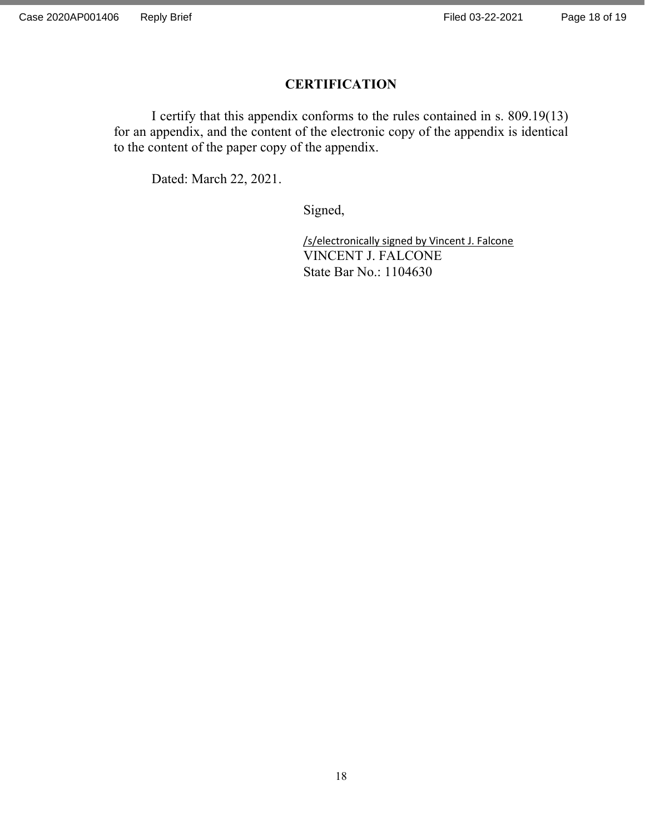# **CERTIFICATION**

 I certify that this appendix conforms to the rules contained in s. 809.19(13) for an appendix, and the content of the electronic copy of the appendix is identical to the content of the paper copy of the appendix.

Dated: March 22, 2021.

Signed,

 /s/electronically signed by Vincent J. Falcone VINCENT J. FALCONE State Bar No.: 1104630